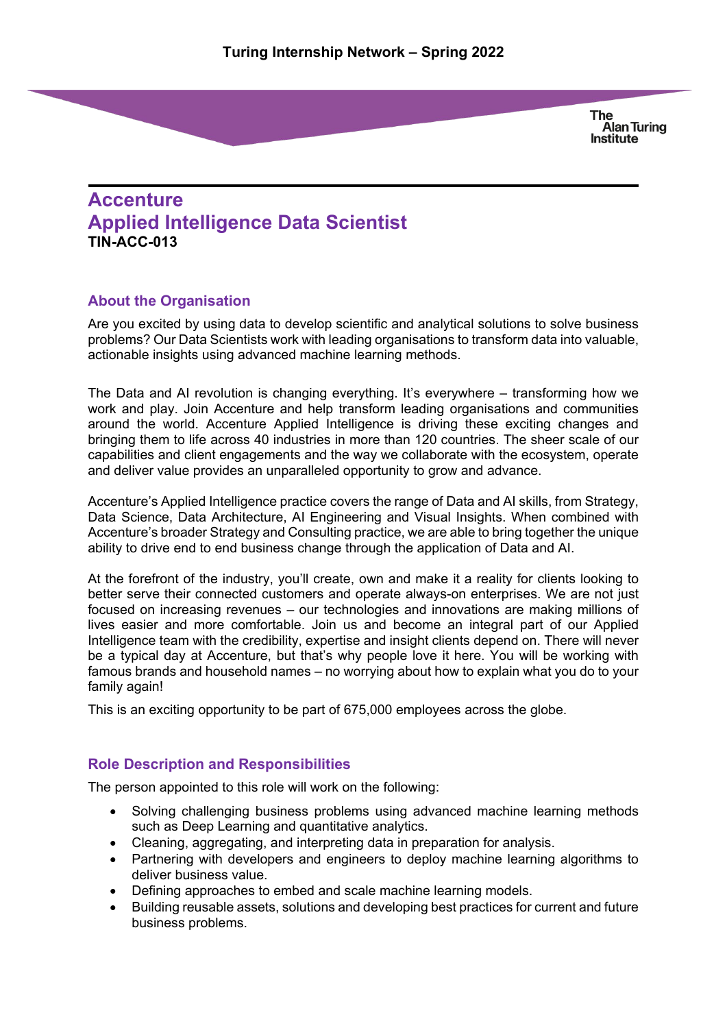# **Accenture Applied Intelligence Data Scientist TIN-ACC-013**

# **About the Organisation**

Are you excited by using data to develop scientific and analytical solutions to solve business problems? Our Data Scientists work with leading organisations to transform data into valuable, actionable insights using advanced machine learning methods.

The Data and AI revolution is changing everything. It's everywhere – transforming how we work and play. Join Accenture and help transform leading organisations and communities around the world. Accenture Applied Intelligence is driving these exciting changes and bringing them to life across 40 industries in more than 120 countries. The sheer scale of our capabilities and client engagements and the way we collaborate with the ecosystem, operate and deliver value provides an unparalleled opportunity to grow and advance.

Accenture's Applied Intelligence practice covers the range of Data and AI skills, from Strategy, Data Science, Data Architecture, AI Engineering and Visual Insights. When combined with Accenture's broader Strategy and Consulting practice, we are able to bring together the unique ability to drive end to end business change through the application of Data and AI.

At the forefront of the industry, you'll create, own and make it a reality for clients looking to better serve their connected customers and operate always-on enterprises. We are not just focused on increasing revenues – our technologies and innovations are making millions of lives easier and more comfortable. Join us and become an integral part of our Applied Intelligence team with the credibility, expertise and insight clients depend on. There will never be a typical day at Accenture, but that's why people love it here. You will be working with famous brands and household names – no worrying about how to explain what you do to your family again!

This is an exciting opportunity to be part of 675,000 employees across the globe.

# **Role Description and Responsibilities**

The person appointed to this role will work on the following:

- Solving challenging business problems using advanced machine learning methods such as Deep Learning and quantitative analytics.
- Cleaning, aggregating, and interpreting data in preparation for analysis.
- Partnering with developers and engineers to deploy machine learning algorithms to deliver business value.
- Defining approaches to embed and scale machine learning models.
- Building reusable assets, solutions and developing best practices for current and future business problems.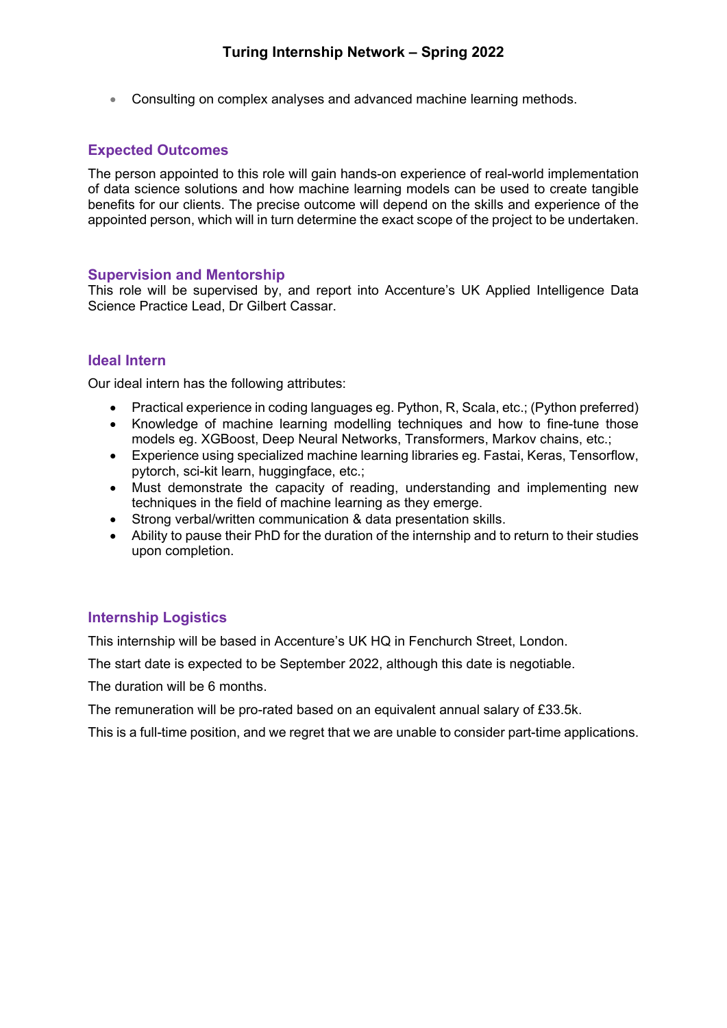• Consulting on complex analyses and advanced machine learning methods.

### **Expected Outcomes**

The person appointed to this role will gain hands-on experience of real-world implementation of data science solutions and how machine learning models can be used to create tangible benefits for our clients. The precise outcome will depend on the skills and experience of the appointed person, which will in turn determine the exact scope of the project to be undertaken.

#### **Supervision and Mentorship**

This role will be supervised by, and report into Accenture's UK Applied Intelligence Data Science Practice Lead, Dr Gilbert Cassar.

### **Ideal Intern**

Our ideal intern has the following attributes:

- Practical experience in coding languages eg. Python, R, Scala, etc.; (Python preferred)
- Knowledge of machine learning modelling techniques and how to fine-tune those models eg. XGBoost, Deep Neural Networks, Transformers, Markov chains, etc.;
- Experience using specialized machine learning libraries eg. Fastai, Keras, Tensorflow, pytorch, sci-kit learn, huggingface, etc.;
- Must demonstrate the capacity of reading, understanding and implementing new techniques in the field of machine learning as they emerge.
- Strong verbal/written communication & data presentation skills.
- Ability to pause their PhD for the duration of the internship and to return to their studies upon completion.

# **Internship Logistics**

This internship will be based in Accenture's UK HQ in Fenchurch Street, London.

The start date is expected to be September 2022, although this date is negotiable.

The duration will be 6 months.

The remuneration will be pro-rated based on an equivalent annual salary of £33.5k.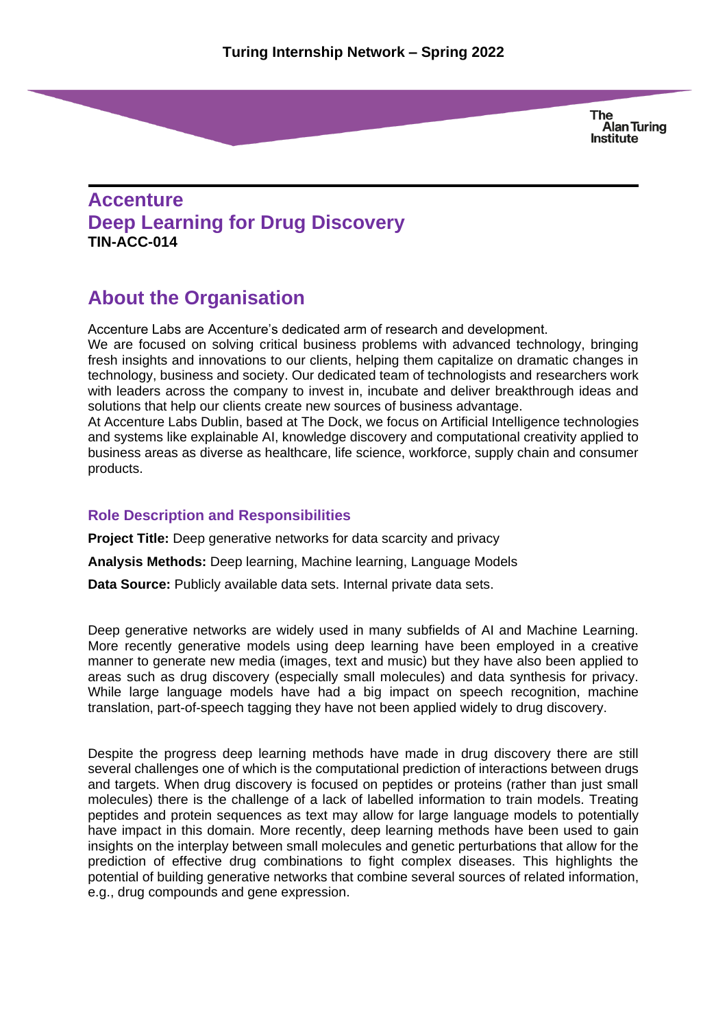# **Accenture Deep Learning for Drug Discovery TIN-ACC-014**

# **About the Organisation**

Accenture Labs are Accenture's dedicated arm of research and development.

We are focused on solving critical business problems with advanced technology, bringing fresh insights and innovations to our clients, helping them capitalize on dramatic changes in technology, business and society. Our dedicated team of technologists and researchers work with leaders across the company to invest in, incubate and deliver breakthrough ideas and solutions that help our clients create new sources of business advantage.

At Accenture Labs Dublin, based at The Dock, we focus on Artificial Intelligence technologies and systems like explainable AI, knowledge discovery and computational creativity applied to business areas as diverse as healthcare, life science, workforce, supply chain and consumer products.

#### **Role Description and Responsibilities**

**Project Title:** Deep generative networks for data scarcity and privacy

**Analysis Methods:** Deep learning, Machine learning, Language Models

**Data Source:** Publicly available data sets. Internal private data sets.

Deep generative networks are widely used in many subfields of AI and Machine Learning. More recently generative models using deep learning have been employed in a creative manner to generate new media (images, text and music) but they have also been applied to areas such as drug discovery (especially small molecules) and data synthesis for privacy. While large language models have had a big impact on speech recognition, machine translation, part-of-speech tagging they have not been applied widely to drug discovery.

Despite the progress deep learning methods have made in drug discovery there are still several challenges one of which is the computational prediction of interactions between drugs and targets. When drug discovery is focused on peptides or proteins (rather than just small molecules) there is the challenge of a lack of labelled information to train models. Treating peptides and protein sequences as text may allow for large language models to potentially have impact in this domain. More recently, deep learning methods have been used to gain insights on the interplay between small molecules and genetic perturbations that allow for the prediction of effective drug combinations to fight complex diseases. This highlights the potential of building generative networks that combine several sources of related information, e.g., drug compounds and gene expression.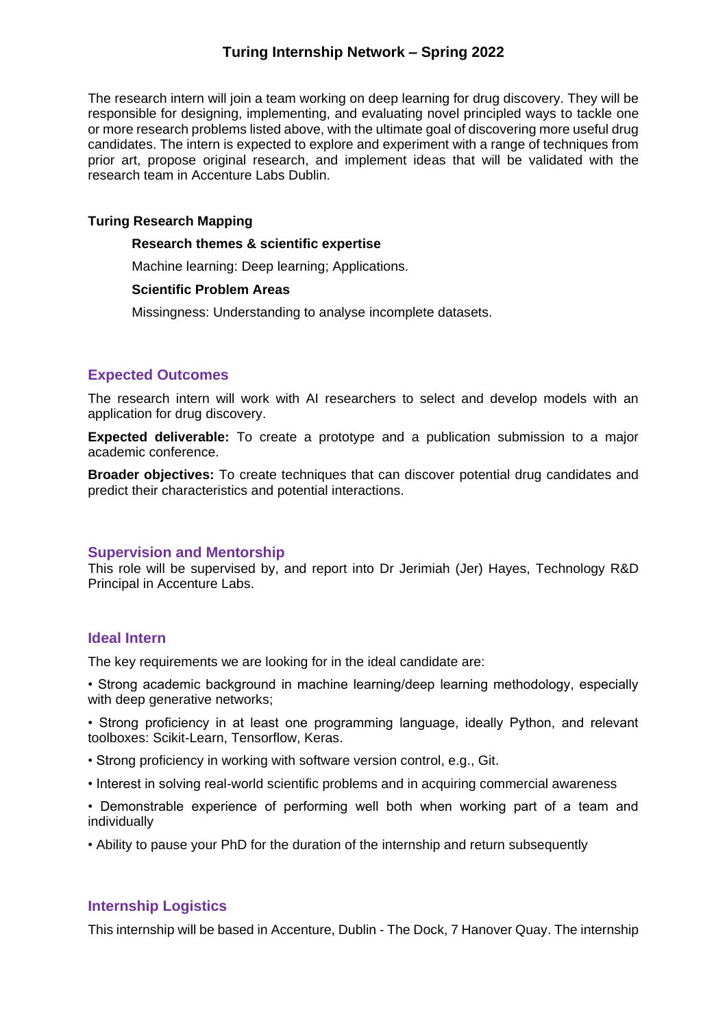The research intern will join a team working on deep learning for drug discovery. They will be responsible for designing, implementing, and evaluating novel principled ways to tackle one or more research problems listed above, with the ultimate goal of discovering more useful drug candidates. The intern is expected to explore and experiment with a range of techniques from prior art, propose original research, and implement ideas that will be validated with the research team in Accenture Labs Dublin.

#### **Turing Research Mapping**

#### **Research themes & scientific expertise**

Machine learning: Deep learning; Applications.

#### **Scientific Problem Areas**

Missingness: Understanding to analyse incomplete datasets.

# **Expected Outcomes**

The research intern will work with AI researchers to select and develop models with an application for drug discovery.

**Expected deliverable:** To create a prototype and a publication submission to a major academic conference.

**Broader objectives:** To create techniques that can discover potential drug candidates and predict their characteristics and potential interactions.

#### **Supervision and Mentorship**

This role will be supervised by, and report into Dr Jerimiah (Jer) Hayes, Technology R&D Principal in Accenture Labs.

#### **Ideal Intern**

The key requirements we are looking for in the ideal candidate are:

• Strong academic background in machine learning/deep learning methodology, especially with deep generative networks;

• Strong proficiency in at least one programming language, ideally Python, and relevant toolboxes: Scikit-Learn, Tensorflow, Keras.

- Strong proficiency in working with software version control, e.g., Git.
- Interest in solving real-world scientific problems and in acquiring commercial awareness
- Demonstrable experience of performing well both when working part of a team and individually
- Ability to pause your PhD for the duration of the internship and return subsequently

# **Internship Logistics**

This internship will be based in Accenture, Dublin - The Dock, 7 Hanover Quay. The internship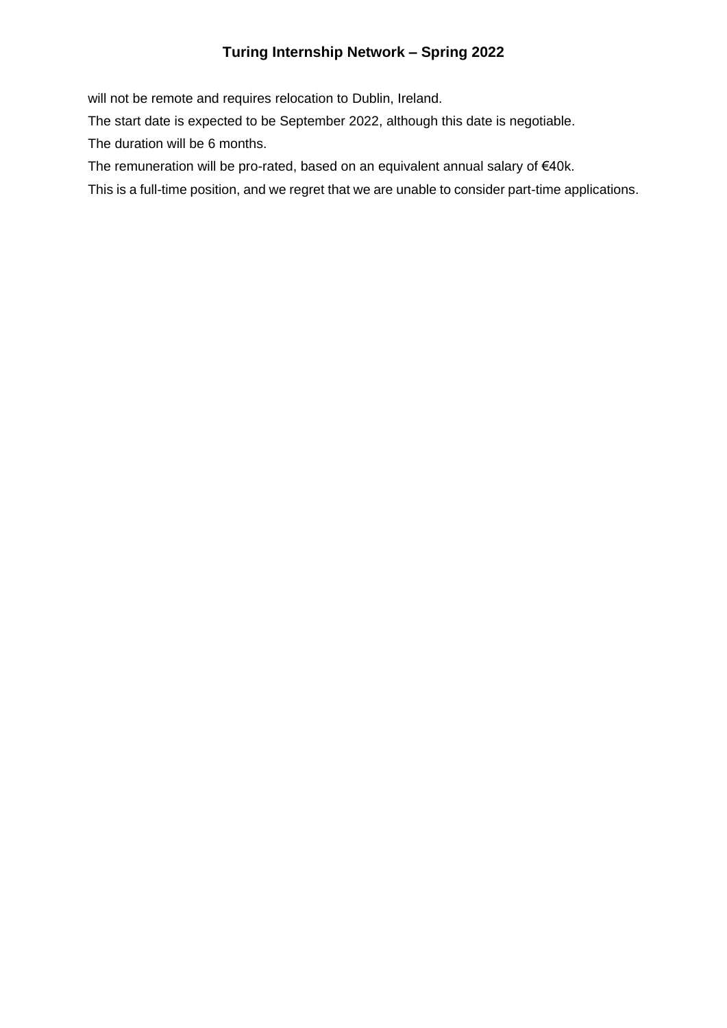will not be remote and requires relocation to Dublin, Ireland.

The start date is expected to be September 2022, although this date is negotiable.

The duration will be 6 months.

The remuneration will be pro-rated, based on an equivalent annual salary of €40k.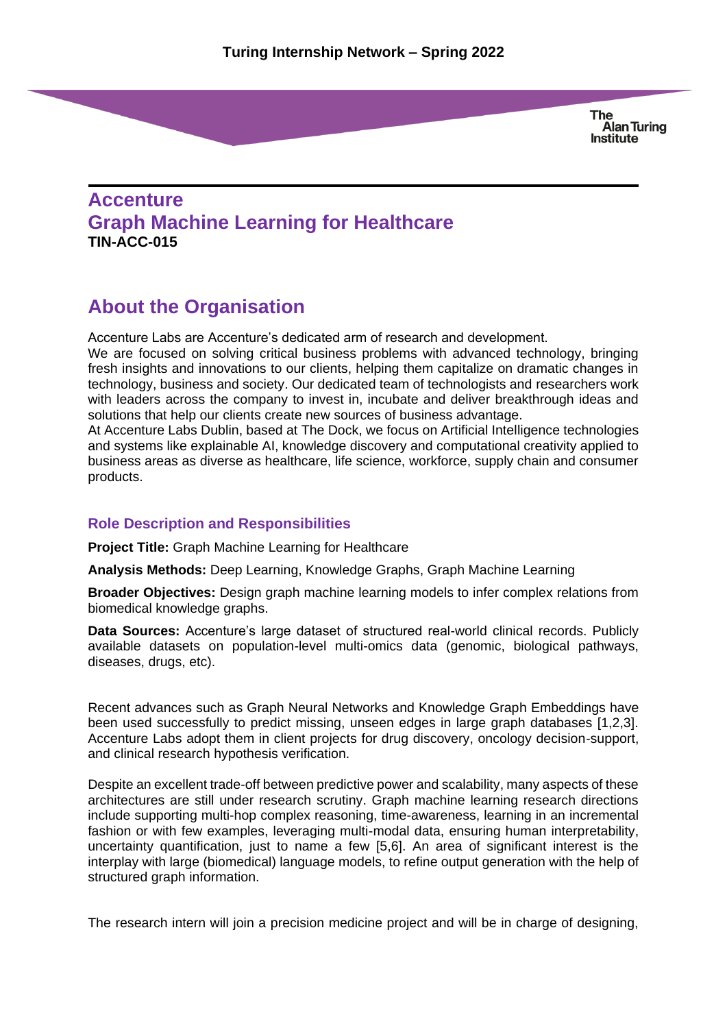# **Accenture Graph Machine Learning for Healthcare TIN-ACC-015**

# **About the Organisation**

Accenture Labs are Accenture's dedicated arm of research and development.

We are focused on solving critical business problems with advanced technology, bringing fresh insights and innovations to our clients, helping them capitalize on dramatic changes in technology, business and society. Our dedicated team of technologists and researchers work with leaders across the company to invest in, incubate and deliver breakthrough ideas and solutions that help our clients create new sources of business advantage.

At Accenture Labs Dublin, based at The Dock, we focus on Artificial Intelligence technologies and systems like explainable AI, knowledge discovery and computational creativity applied to business areas as diverse as healthcare, life science, workforce, supply chain and consumer products.

# **Role Description and Responsibilities**

**Project Title:** Graph Machine Learning for Healthcare

**Analysis Methods:** Deep Learning, Knowledge Graphs, Graph Machine Learning

**Broader Objectives:** Design graph machine learning models to infer complex relations from biomedical knowledge graphs.

**Data Sources:** Accenture's large dataset of structured real-world clinical records. Publicly available datasets on population-level multi-omics data (genomic, biological pathways, diseases, drugs, etc).

Recent advances such as Graph Neural Networks and Knowledge Graph Embeddings have been used successfully to predict missing, unseen edges in large graph databases [1,2,3]. Accenture Labs adopt them in client projects for drug discovery, oncology decision-support, and clinical research hypothesis verification.

Despite an excellent trade-off between predictive power and scalability, many aspects of these architectures are still under research scrutiny. Graph machine learning research directions include supporting multi-hop complex reasoning, time-awareness, learning in an incremental fashion or with few examples, leveraging multi-modal data, ensuring human interpretability, uncertainty quantification, just to name a few [5,6]. An area of significant interest is the interplay with large (biomedical) language models, to refine output generation with the help of structured graph information.

The research intern will join a precision medicine project and will be in charge of designing,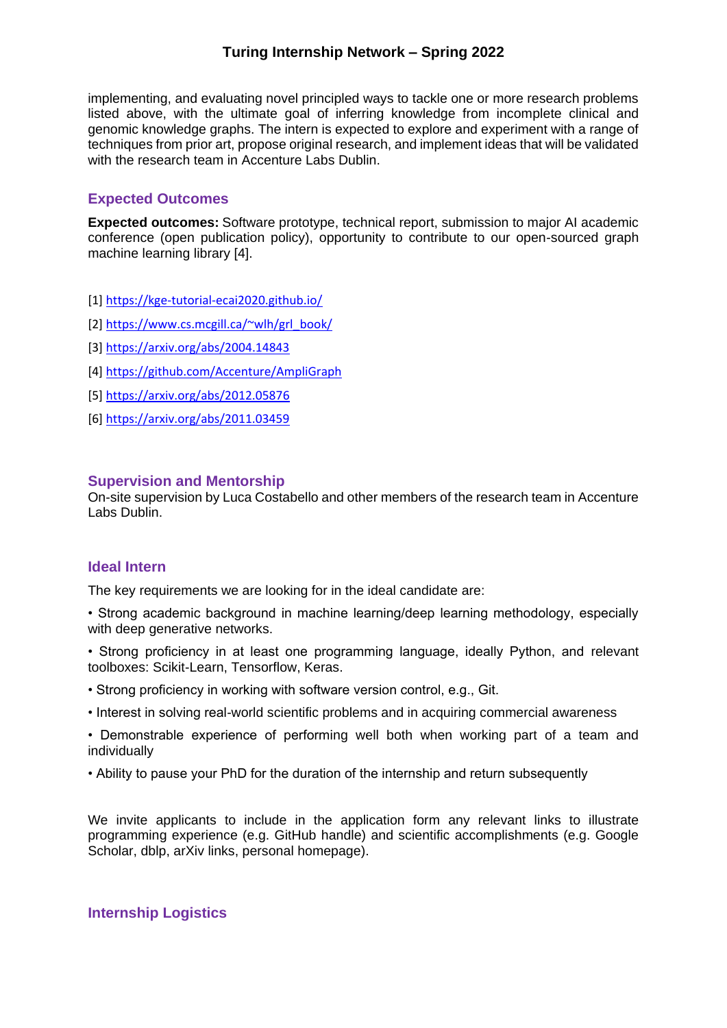implementing, and evaluating novel principled ways to tackle one or more research problems listed above, with the ultimate goal of inferring knowledge from incomplete clinical and genomic knowledge graphs. The intern is expected to explore and experiment with a range of techniques from prior art, propose original research, and implement ideas that will be validated with the research team in Accenture Labs Dublin.

### **Expected Outcomes**

**Expected outcomes:** Software prototype, technical report, submission to major AI academic conference (open publication policy), opportunity to contribute to our open-sourced graph machine learning library [4].

- [1]<https://kge-tutorial-ecai2020.github.io/>
- [2] [https://www.cs.mcgill.ca/~wlh/grl\\_book/](https://www.cs.mcgill.ca/~wlh/grl_book/)
- [3]<https://arxiv.org/abs/2004.14843>
- [4]<https://github.com/Accenture/>[AmpliGraph](https://github.com/Accenture/AmpliGraph)
- [5]<https://arxiv.org/abs/2012.05876>
- [6]<https://arxiv.org/abs/2011.03459>

#### **Supervision and Mentorship**

On-site supervision by Luca Costabello and other members of the research team in Accenture Labs Dublin.

#### **Ideal Intern**

The key requirements we are looking for in the ideal candidate are:

- Strong academic background in machine learning/deep learning methodology, especially with deep generative networks.
- Strong proficiency in at least one programming language, ideally Python, and relevant toolboxes: Scikit-Learn, Tensorflow, Keras.
- Strong proficiency in working with software version control, e.g., Git.
- Interest in solving real-world scientific problems and in acquiring commercial awareness
- Demonstrable experience of performing well both when working part of a team and individually
- Ability to pause your PhD for the duration of the internship and return subsequently

We invite applicants to include in the application form any relevant links to illustrate programming experience (e.g. GitHub handle) and scientific accomplishments (e.g. Google Scholar, dblp, arXiv links, personal homepage).

#### **Internship Logistics**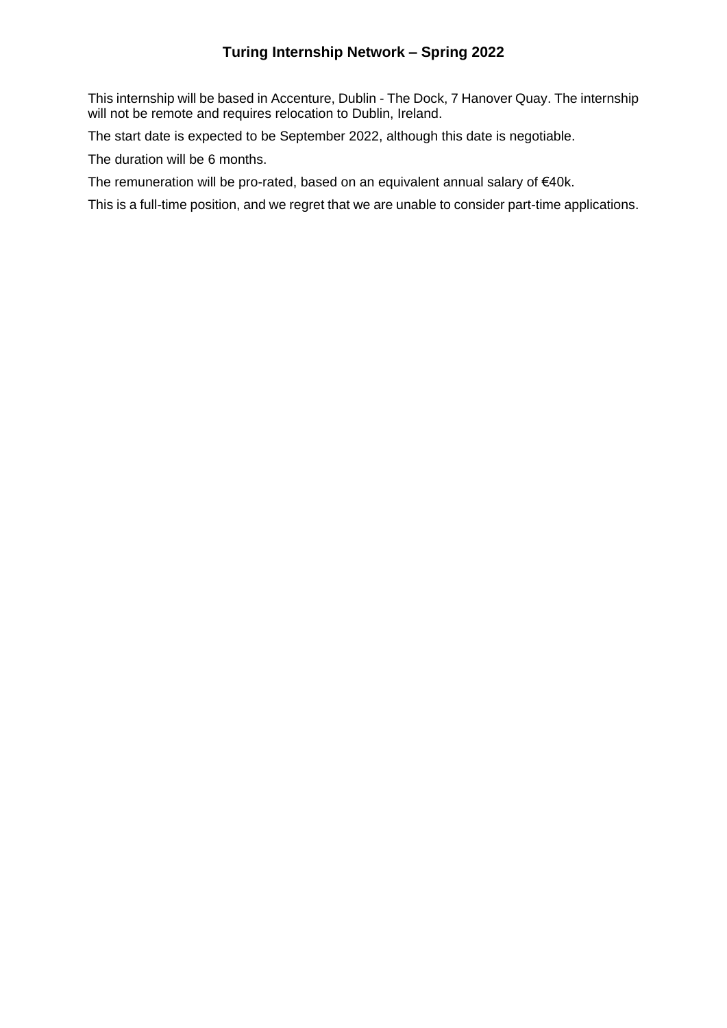This internship will be based in Accenture, Dublin - The Dock, 7 Hanover Quay. The internship will not be remote and requires relocation to Dublin, Ireland.

The start date is expected to be September 2022, although this date is negotiable.

The duration will be 6 months.

The remuneration will be pro-rated, based on an equivalent annual salary of €40k.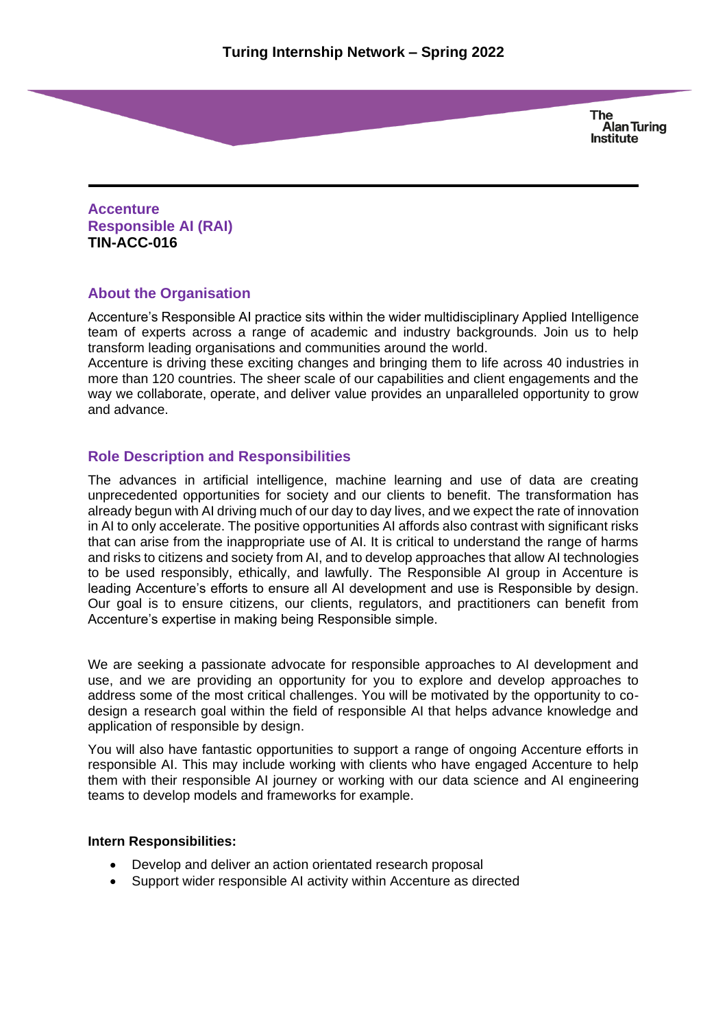**Accenture Responsible AI (RAI) TIN-ACC-016**

### **About the Organisation**

Accenture's Responsible AI practice sits within the wider multidisciplinary Applied Intelligence team of experts across a range of academic and industry backgrounds. Join us to help transform leading organisations and communities around the world.

Accenture is driving these exciting changes and bringing them to life across 40 industries in more than 120 countries. The sheer scale of our capabilities and client engagements and the way we collaborate, operate, and deliver value provides an unparalleled opportunity to grow and advance.

### **Role Description and Responsibilities**

The advances in artificial intelligence, machine learning and use of data are creating unprecedented opportunities for society and our clients to benefit. The transformation has already begun with AI driving much of our day to day lives, and we expect the rate of innovation in AI to only accelerate. The positive opportunities AI affords also contrast with significant risks that can arise from the inappropriate use of AI. It is critical to understand the range of harms and risks to citizens and society from AI, and to develop approaches that allow AI technologies to be used responsibly, ethically, and lawfully. The Responsible AI group in Accenture is leading Accenture's efforts to ensure all AI development and use is Responsible by design. Our goal is to ensure citizens, our clients, regulators, and practitioners can benefit from Accenture's expertise in making being Responsible simple.

We are seeking a passionate advocate for responsible approaches to AI development and use, and we are providing an opportunity for you to explore and develop approaches to address some of the most critical challenges. You will be motivated by the opportunity to codesign a research goal within the field of responsible AI that helps advance knowledge and application of responsible by design.

You will also have fantastic opportunities to support a range of ongoing Accenture efforts in responsible AI. This may include working with clients who have engaged Accenture to help them with their responsible AI journey or working with our data science and AI engineering teams to develop models and frameworks for example.

#### **Intern Responsibilities:**

- Develop and deliver an action orientated research proposal
- Support wider responsible AI activity within Accenture as directed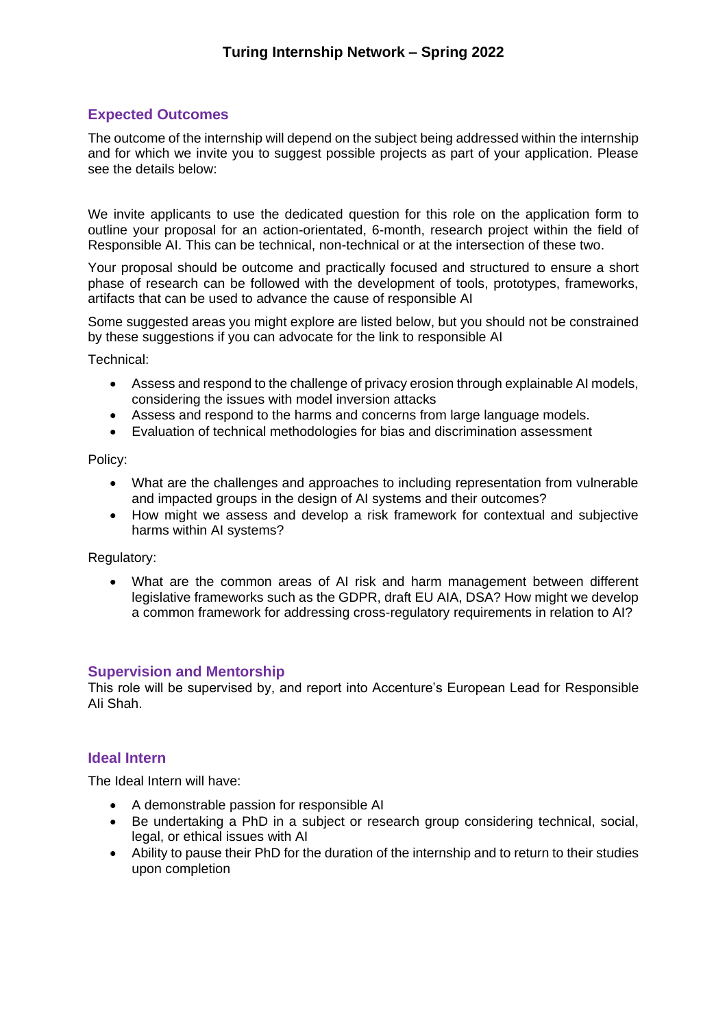# **Expected Outcomes**

The outcome of the internship will depend on the subject being addressed within the internship and for which we invite you to suggest possible projects as part of your application. Please see the details below:

We invite applicants to use the dedicated question for this role on the application form to outline your proposal for an action-orientated, 6-month, research project within the field of Responsible AI. This can be technical, non-technical or at the intersection of these two.

Your proposal should be outcome and practically focused and structured to ensure a short phase of research can be followed with the development of tools, prototypes, frameworks, artifacts that can be used to advance the cause of responsible AI

Some suggested areas you might explore are listed below, but you should not be constrained by these suggestions if you can advocate for the link to responsible AI

Technical:

- Assess and respond to the challenge of privacy erosion through explainable AI models, considering the issues with model inversion attacks
- Assess and respond to the harms and concerns from large language models.
- Evaluation of technical methodologies for bias and discrimination assessment

#### Policy:

- What are the challenges and approaches to including representation from vulnerable and impacted groups in the design of AI systems and their outcomes?
- How might we assess and develop a risk framework for contextual and subjective harms within AI systems?

#### Regulatory:

• What are the common areas of AI risk and harm management between different legislative frameworks such as the GDPR, draft EU AIA, DSA? How might we develop a common framework for addressing cross-regulatory requirements in relation to AI?

#### **Supervision and Mentorship**

This role will be supervised by, and report into Accenture's European Lead for Responsible AIi Shah.

#### **Ideal Intern**

The Ideal Intern will have:

- A demonstrable passion for responsible AI
- Be undertaking a PhD in a subject or research group considering technical, social, legal, or ethical issues with AI
- Ability to pause their PhD for the duration of the internship and to return to their studies upon completion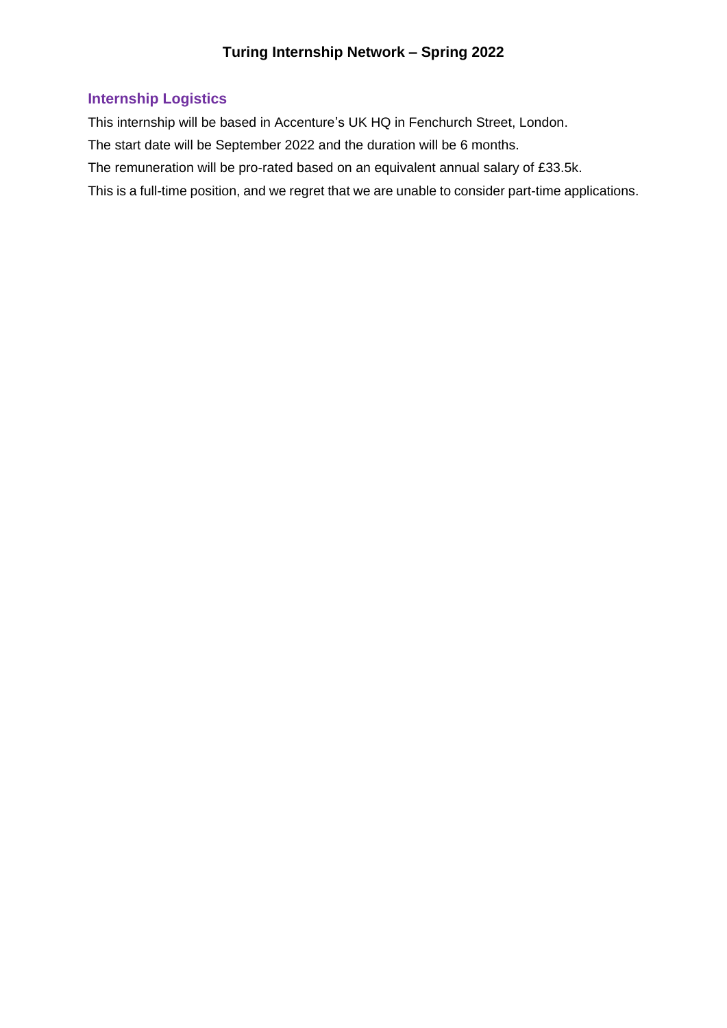# **Internship Logistics**

This internship will be based in Accenture's UK HQ in Fenchurch Street, London.

The start date will be September 2022 and the duration will be 6 months.

The remuneration will be pro-rated based on an equivalent annual salary of £33.5k.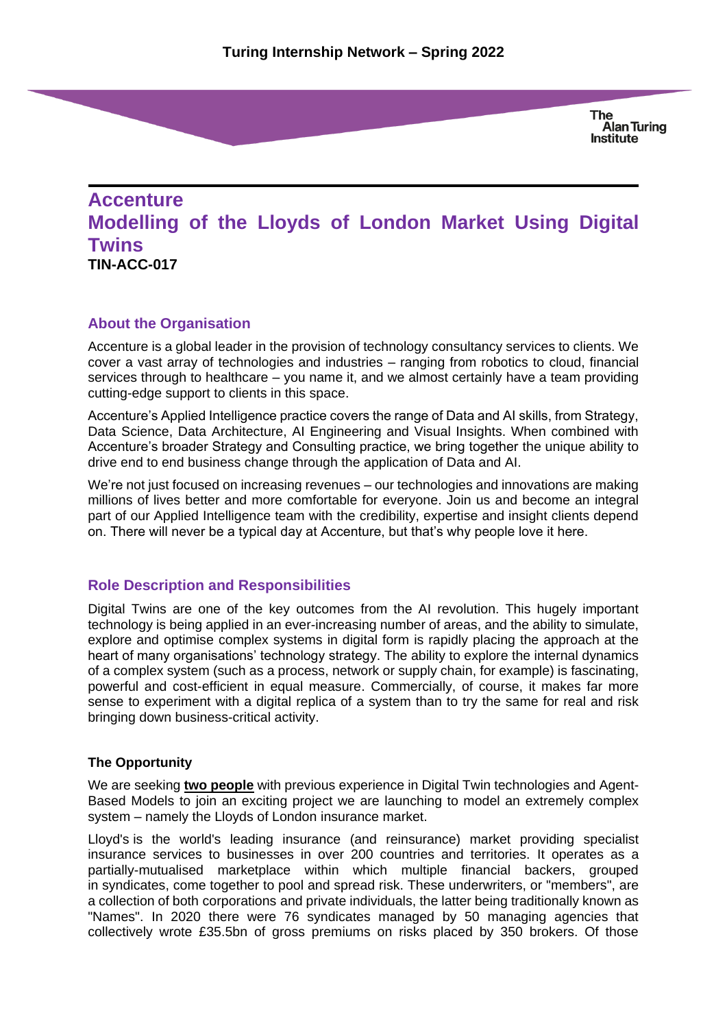# **Accenture Modelling of the Lloyds of London Market Using Digital Twins TIN-ACC-017**

# **About the Organisation**

Accenture is a global leader in the provision of technology consultancy services to clients. We cover a vast array of technologies and industries – ranging from robotics to cloud, financial services through to healthcare – you name it, and we almost certainly have a team providing cutting-edge support to clients in this space.

Accenture's Applied Intelligence practice covers the range of Data and AI skills, from Strategy, Data Science, Data Architecture, AI Engineering and Visual Insights. When combined with Accenture's broader Strategy and Consulting practice, we bring together the unique ability to drive end to end business change through the application of Data and AI.

We're not just focused on increasing revenues – our technologies and innovations are making millions of lives better and more comfortable for everyone. Join us and become an integral part of our Applied Intelligence team with the credibility, expertise and insight clients depend on. There will never be a typical day at Accenture, but that's why people love it here.

#### **Role Description and Responsibilities**

Digital Twins are one of the key outcomes from the AI revolution. This hugely important technology is being applied in an ever-increasing number of areas, and the ability to simulate, explore and optimise complex systems in digital form is rapidly placing the approach at the heart of many organisations' technology strategy. The ability to explore the internal dynamics of a complex system (such as a process, network or supply chain, for example) is fascinating, powerful and cost-efficient in equal measure. Commercially, of course, it makes far more sense to experiment with a digital replica of a system than to try the same for real and risk bringing down business-critical activity.

#### **The Opportunity**

We are seeking **two people** with previous experience in Digital Twin technologies and Agent-Based Models to join an exciting project we are launching to model an extremely complex system – namely the Lloyds of London insurance market.

Lloyd's is the world's leading insurance (and reinsurance) market providing specialist insurance services to businesses in over 200 countries and territories. It operates as a partially-mutualised marketplace within which multiple financial backers, grouped in [syndicates,](https://en.wikipedia.org/wiki/Syndicate) come together to pool and spread [risk.](https://en.wikipedia.org/wiki/Risk) These [underwriters,](https://en.wikipedia.org/wiki/Underwriting) or "members", are a collection of both [corporations](https://en.wikipedia.org/wiki/Corporation) and private individuals, the latter being traditionally known as "Names". In 2020 there were 76 syndicates managed by 50 managing agencies that collectively wrote £35.5bn of gross premiums on risks placed by 350 brokers. Of those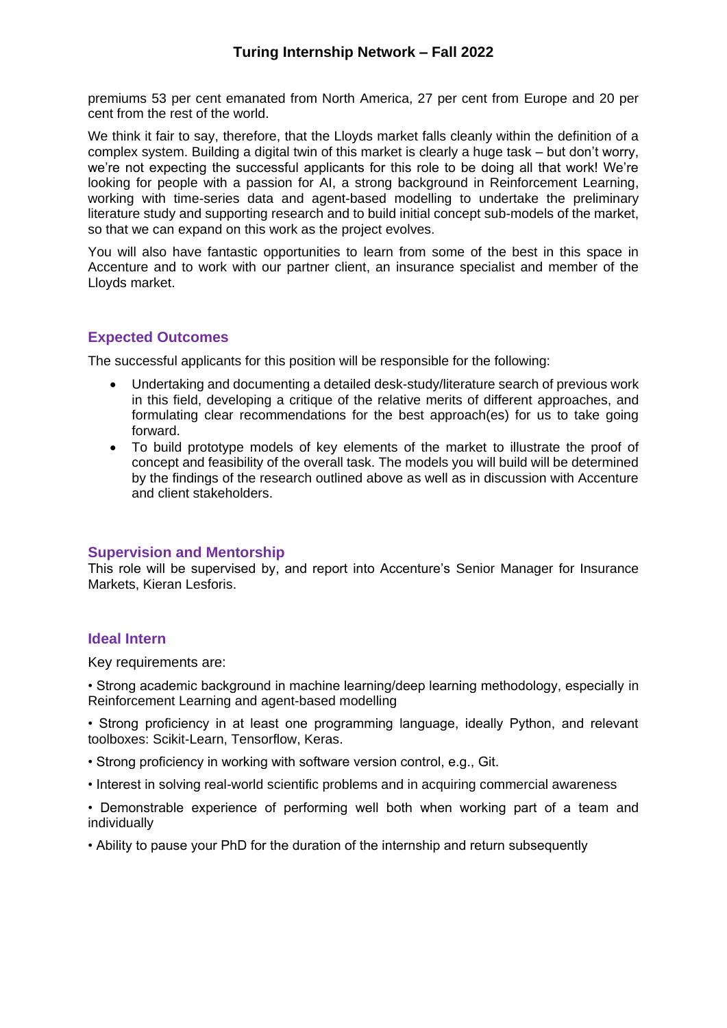premiums 53 per cent emanated from North America, 27 per cent from Europe and 20 per cent from the rest of the world.

We think it fair to say, therefore, that the Lloyds market falls cleanly within the definition of a complex system. Building a digital twin of this market is clearly a huge task – but don't worry, we're not expecting the successful applicants for this role to be doing all that work! We're looking for people with a passion for AI, a strong background in Reinforcement Learning, working with time-series data and agent-based modelling to undertake the preliminary literature study and supporting research and to build initial concept sub-models of the market, so that we can expand on this work as the project evolves.

You will also have fantastic opportunities to learn from some of the best in this space in Accenture and to work with our partner client, an insurance specialist and member of the Lloyds market.

# **Expected Outcomes**

The successful applicants for this position will be responsible for the following:

- Undertaking and documenting a detailed desk-study/literature search of previous work in this field, developing a critique of the relative merits of different approaches, and formulating clear recommendations for the best approach(es) for us to take going forward.
- To build prototype models of key elements of the market to illustrate the proof of concept and feasibility of the overall task. The models you will build will be determined by the findings of the research outlined above as well as in discussion with Accenture and client stakeholders.

#### **Supervision and Mentorship**

This role will be supervised by, and report into Accenture's Senior Manager for Insurance Markets, Kieran Lesforis.

#### **Ideal Intern**

Key requirements are:

• Strong academic background in machine learning/deep learning methodology, especially in Reinforcement Learning and agent-based modelling

• Strong proficiency in at least one programming language, ideally Python, and relevant toolboxes: Scikit-Learn, Tensorflow, Keras.

- Strong proficiency in working with software version control, e.g., Git.
- Interest in solving real-world scientific problems and in acquiring commercial awareness

• Demonstrable experience of performing well both when working part of a team and individually

• Ability to pause your PhD for the duration of the internship and return subsequently